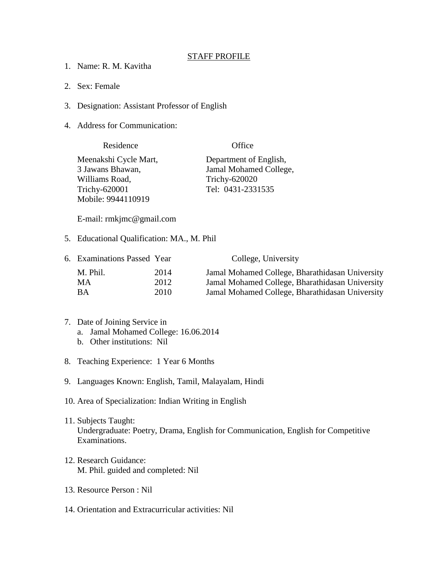## STAFF PROFILE

- 1. Name: R. M. Kavitha
- 2. Sex: Female
- 3. Designation: Assistant Professor of English
- 4. Address for Communication:

| Residence             | Office                 |
|-----------------------|------------------------|
| Meenakshi Cycle Mart, | Department of English, |
| 3 Jawans Bhawan,      | Jamal Mohamed College, |
| Williams Road,        | <b>Trichy-620020</b>   |
| Trichy-620001         | Tel: 0431-2331535      |
| Mobile: 9944110919    |                        |

E-mail: rmkjmc@gmail.com

5. Educational Qualification: MA., M. Phil

| 6. Examinations Passed Year |      | College, University                             |
|-----------------------------|------|-------------------------------------------------|
| M. Phil.                    | 2014 | Jamal Mohamed College, Bharathidasan University |
| MA.                         | 2012 | Jamal Mohamed College, Bharathidasan University |
| BА                          | 2010 | Jamal Mohamed College, Bharathidasan University |

- 7. Date of Joining Service in
	- a. Jamal Mohamed College: 16.06.2014
	- b. Other institutions: Nil
- 8. Teaching Experience: 1 Year 6 Months
- 9. Languages Known: English, Tamil, Malayalam, Hindi
- 10. Area of Specialization: Indian Writing in English
- 11. Subjects Taught: Undergraduate: Poetry, Drama, English for Communication, English for Competitive Examinations.
- 12. Research Guidance: M. Phil. guided and completed: Nil
- 13. Resource Person : Nil
- 14. Orientation and Extracurricular activities: Nil